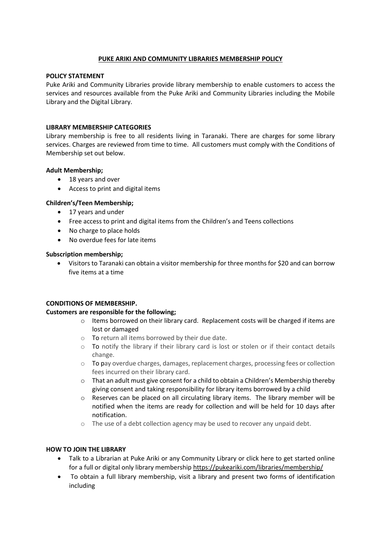## **PUKE ARIKI AND COMMUNITY LIBRARIES MEMBERSHIP POLICY**

## **POLICY STATEMENT**

Puke Ariki and Community Libraries provide library membership to enable customers to access the services and resources available from the Puke Ariki and Community Libraries including the Mobile Library and the Digital Library.

#### **LIBRARY MEMBERSHIP CATEGORIES**

Library membership is free to all residents living in Taranaki. There are charges for some library services. Charges are reviewed from time to time. All customers must comply with the Conditions of Membership set out below.

#### **Adult Membership;**

- 18 years and over
- Access to print and digital items

## **Children's/Teen Membership;**

- 17 years and under
- Free access to print and digital items from the Children's and Teens collections
- No charge to place holds
- No overdue fees for late items

#### **Subscription membership;**

 Visitors to Taranaki can obtain a visitor membership for three months for \$20 and can borrow five items at a time

## **CONDITIONS OF MEMBERSHIP.**

## **Customers are responsible for the following;**

- $\circ$  Items borrowed on their library card. Replacement costs will be charged if items are lost or damaged
- o To return all items borrowed by their due date.
- $\circ$  To notify the library if their library card is lost or stolen or if their contact details change.
- $\circ$  To pay overdue charges, damages, replacement charges, processing fees or collection fees incurred on their library card.
- o That an adult must give consent for a child to obtain a Children's Membership thereby giving consent and taking responsibility for library items borrowed by a child
- $\circ$  Reserves can be placed on all circulating library items. The library member will be notified when the items are ready for collection and will be held for 10 days after notification.
- $\circ$  The use of a debt collection agency may be used to recover any unpaid debt.

## **HOW TO JOIN THE LIBRARY**

- Talk to a Librarian at Puke Ariki or any Community Library or click here to get started online for a full or digital only library membership<https://pukeariki.com/libraries/membership/>
- To obtain a full library membership, visit a library and present two forms of identification including